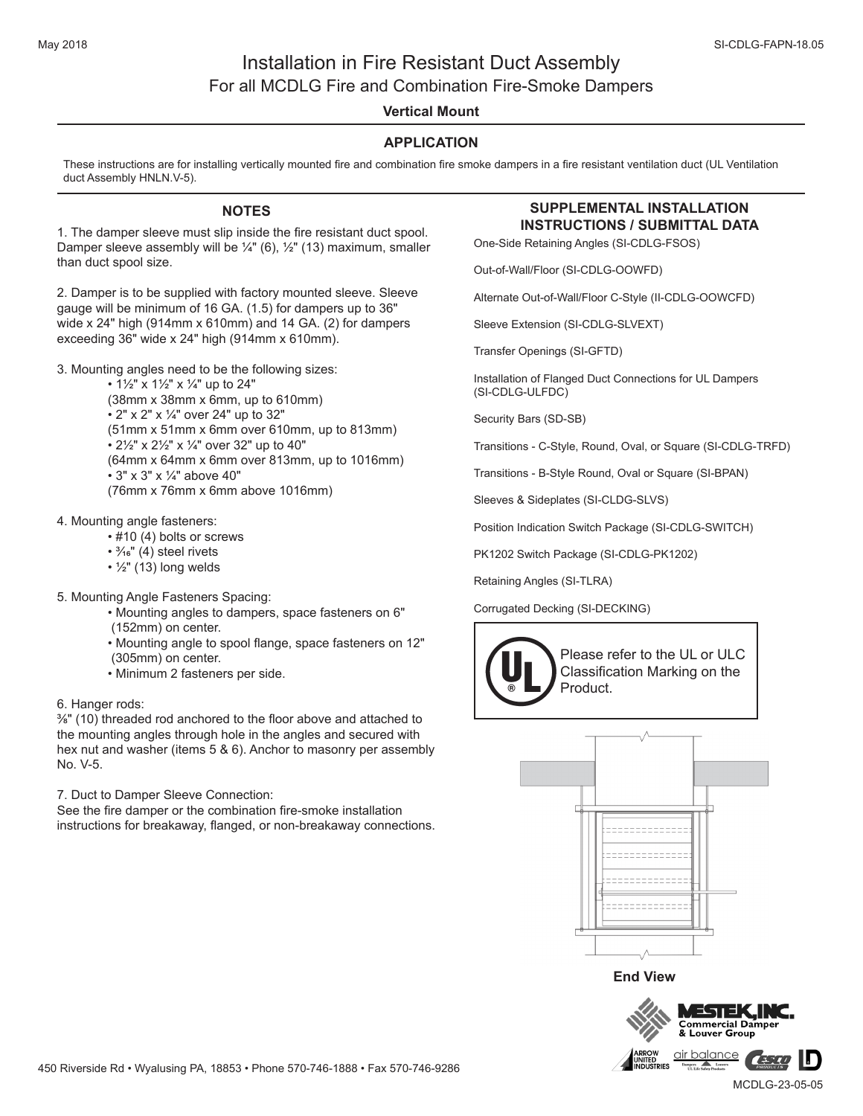# Installation in Fire Resistant Duct Assembly For all MCDLG Fire and Combination Fire-Smoke Dampers

# **Vertical Mount**

## **APPLICATION**

These instructions are for installing vertically mounted fire and combination fire smoke dampers in a fire resistant ventilation duct (UL Ventilation duct Assembly HNLN.V-5).

### **NOTES**

**INSTRUCTIONS / SUBMITTAL DATA** 1. The damper sleeve must slip inside the fire resistant duct spool. Damper sleeve assembly will be  $\frac{1}{4}$ " (6),  $\frac{1}{2}$ " (13) maximum, smaller than duct spool size.

2. Damper is to be supplied with factory mounted sleeve. Sleeve gauge will be minimum of 16 GA. (1.5) for dampers up to 36" wide x 24" high (914mm x 610mm) and 14 GA. (2) for dampers exceeding 36" wide x 24" high (914mm x 610mm).

3. Mounting angles need to be the following sizes:

•  $1\frac{1}{2}$ " x  $1\frac{1}{2}$ " x  $\frac{1}{4}$ " up to 24" (38mm x 38mm x 6mm, up to 610mm) • 2" x 2" x 1/4" over 24" up to 32" (51mm x 51mm x 6mm over 610mm, up to 813mm) • 21/2" x 21/2" x 1/4" over 32" up to 40" (64mm x 64mm x 6mm over 813mm, up to 1016mm) • 3" x 3" x 1/4" above 40" (76mm x 76mm x 6mm above 1016mm)

#### 4. Mounting angle fasteners:

- #10 (4) bolts or screws
- $\cdot$   $\frac{3}{16}$ " (4) steel rivets
- $\cdot$   $\frac{1}{2}$ " (13) long welds
- 5. Mounting Angle Fasteners Spacing:
	- Mounting angles to dampers, space fasteners on 6" (152mm) on center.
	- Mounting angle to spool flange, space fasteners on 12" (305mm) on center.
	- Minimum 2 fasteners per side.

#### 6. Hanger rods:

3/8" (10) threaded rod anchored to the floor above and attached to the mounting angles through hole in the angles and secured with hex nut and washer (items 5 & 6). Anchor to masonry per assembly No. V-5.

7. Duct to Damper Sleeve Connection:

See the fire damper or the combination fire-smoke installation instructions for breakaway, flanged, or non-breakaway connections.

# **SUPPLEMENTAL INSTALLATION**

One-Side Retaining Angles (SI-CDLG-FSOS)

Out-of-Wall/Floor (SI-CDLG-OOWFD)

Alternate Out-of-Wall/Floor C-Style (II-CDLG-OOWCFD)

Sleeve Extension (SI-CDLG-SLVEXT)

Transfer Openings (SI-GFTD)

Installation of Flanged Duct Connections for UL Dampers (SI-CDLG-ULFDC)

Security Bars (SD-SB)

Transitions - C-Style, Round, Oval, or Square (SI-CDLG-TRFD)

Transitions - B-Style Round, Oval or Square (SI-BPAN)

Sleeves & Sideplates (SI-CLDG-SLVS)

Position Indication Switch Package (SI-CDLG-SWITCH)

PK1202 Switch Package (SI-CDLG-PK1202)

Retaining Angles (SI-TLRA)

#### Corrugated Decking (SI-DECKING)





**End View**